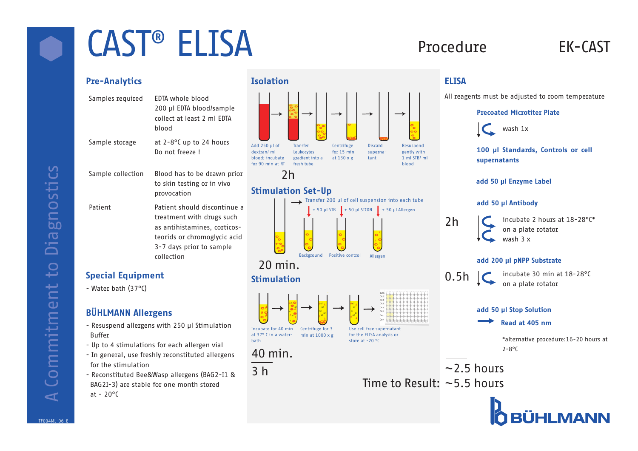# CAST<sup>®</sup> ELISA Procedure EK-CAST

- Samples required EDTA whole blood 200 µl EDTA blood/sample collect at least 2 ml EDTA blood Sample storage at 2-8°C up to 24 hours Do not freeze ! Sample collection Blood has to be drawn prior to skin testing or in vivo provocation
- Patient Patient should discontinue a treatment with drugs such as antihistamines, corticosteorids or chromoglycic acid 3-7 days prior to sample collection

## Special Equipment

- Water bath (37°C)

## BÜHLMANN Allergens

- Resuspend allergens with 250 µl Stimulation Buffer
- Up to 4 stimulations for each allergen vial
- In general, use freshly reconstituted allergens for the stimulation
- Reconstituted Bee&Wasp allergens (BAG2-I1 & BAG2I-3) are stable for one month stored at -  $20^{\circ}$ C



## Stimulation Set-Up



## Stimulation



All reagents must be adjusted to room temperature

## Precoated Microtiter Plate



100 µl Standards, Controls or cell supernatants

#### add 50 µl Antibody

2h

incubate 2 hours at 18-28°C\* on a plate rotator wash 3 x

#### add 200 µl pNPP Substrate



incubate 30 min at 18-28°C on a plate rotator

#### add 50 µl Stop Solution

#### Read at 405 nm

\*alternative procedure:16-20 hours at 2-8°C

Time to Result: ~5.5 hours



Diagnostics A Commitment to Diagnostics Commitment to  $\blacktriangleleft$